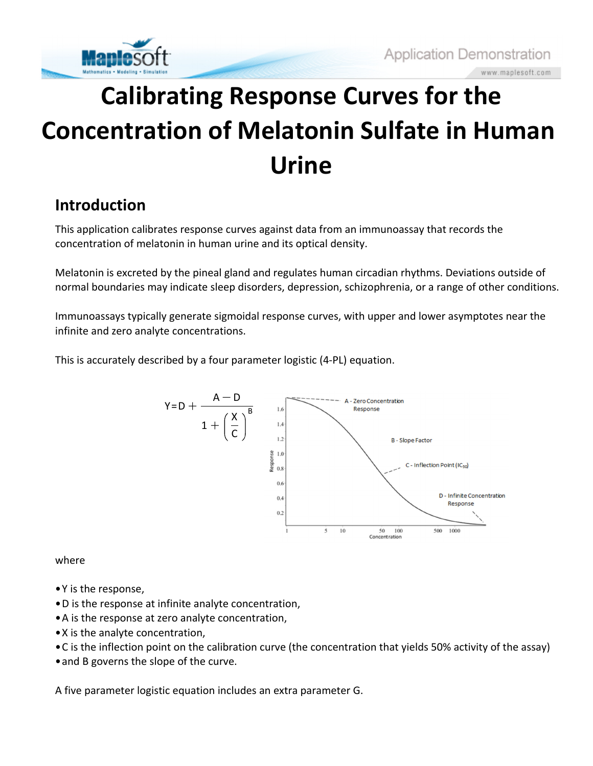

vww.maplesoft.com

# **Calibrating Response Curves for the Concentration of Melatonin Sulfate in Human Urine**

### **Introduction**

This application calibrates response curves against data from an immunoassay that records the concentration of melatonin in human urine and its optical density.

Melatonin is excreted by the pineal gland and regulates human circadian rhythms. Deviations outside of normal boundaries may indicate sleep disorders, depression, schizophrenia, or a range of other conditions.

Immunoassays typically generate sigmoidal response curves, with upper and lower asymptotes near the infinite and zero analyte concentrations.

This is accurately described by a four parameter logistic (4-PL) equation.



where

- Y is the response,
- D is the response at infinite analyte concentration,
- A is the response at zero analyte concentration,
- X is the analyte concentration,
- C is the inflection point on the calibration curve (the concentration that yields 50% activity of the assay)
- and B governs the slope of the curve.

A five parameter logistic equation includes an extra parameter G.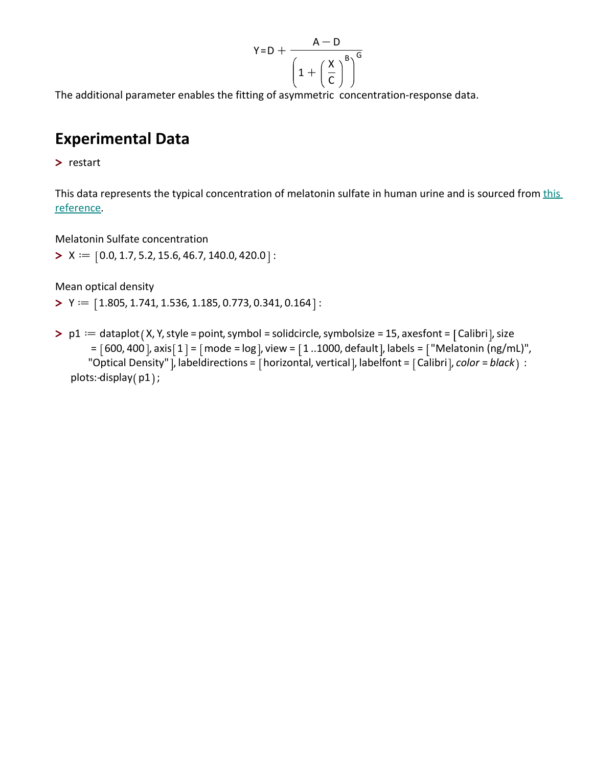$$
Y = D + \frac{A - D}{\left(1 + \left(\frac{X}{C}\right)^B\right)^G}
$$

The additional parameter enables the fitting of asymmetric concentration-response data.

### **Experimental Data**

**>** restart

This data represents the typical concentration of melatonin sulfate in human urine and is sourced from this reference.

Melatonin Sulfate concentration

 $> X := [0.0, 1.7, 5.2, 15.6, 46.7, 140.0, 420.0]$ :

Mean optical density

 $\blacktriangleright$  Y  $\coloneqq$   $\lceil 1.805, 1.741, 1.536, 1.185, 0.773, 0.341, 0.164 \rceil$ :

 $\triangleright$  p1  $:=$  dataplot (X, Y, style = point, symbol = solidcircle, symbolsize = 15, axesfont = [Calibri], size  $= [600, 400]$ , axis $[1] = [mode = log]$ , view  $= [1..1000$ , default], labels  $= ["Melatonin (ng/mL)"$ , "Optical Density" ], labeldirections = [horizontal, vertical], labelfont = [Calibri], *color = black* ) : plots:-display(p1);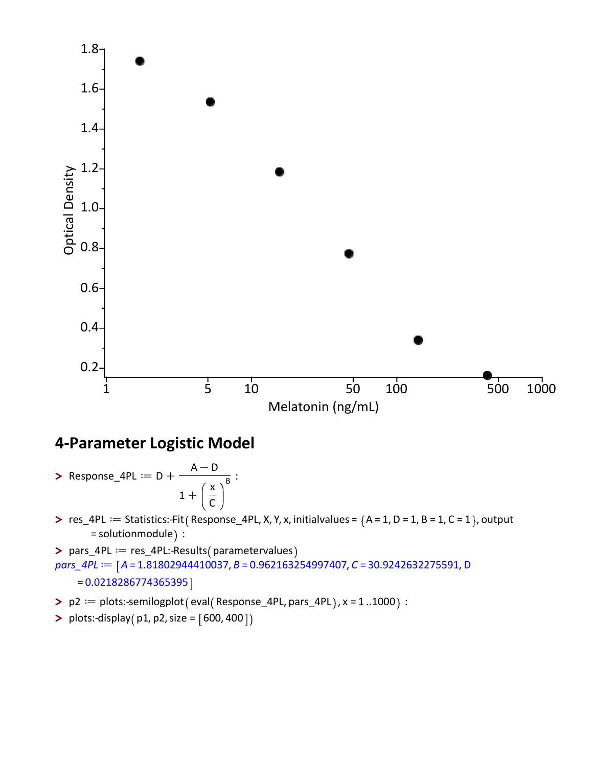

## **4-Parameter Logistic Model**

- **>** Response\_4PL  $:= D +$  $A-D$  $1+$ x C  $\overline{B}$  :
- >  $res_4PL :=$  Statistics:-Fit (Response<sub>1</sub>4PL, X, Y, x, initialvalues =  ${A = 1, D = 1, B = 1, C = 1}$ , output = solutionmodule) :

> pars\_4PL == res\_4PL:-Results (parametervalues *pars\_4PL* :=  $[A = 1.81802944410037, B = 0.962163254997407, C = 30.9242632275591, D$  $= 0.0218286774365395$ 

- $\blacktriangleright$  p2  $:=$  plots:-semilogplot (eval (Response\_4PL, pars\_4PL), x = 1 ..1000) :
- **>** plots:-display( $p1, p2, size = [600, 400]$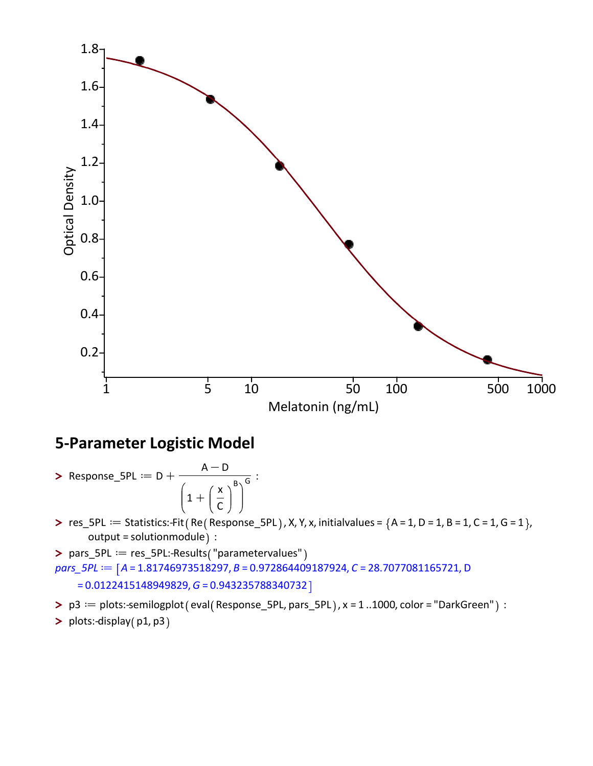

#### **5-Parameter Logistic Model**

- **>** Response\_5PL  $:= D +$  $A-D$  $1+$ x C  $\frac{1}{B\setminus G}$ :
- $\triangleright$  res\_5PL := Statistics:-Fit (Re (Response\_5PL), X, Y, x, initialvalues =  ${A = 1, D = 1, B = 1, C = 1, G = 1}$ output = solutionmodule) :

> pars\_5PL = res\_5PL:-Results ("parametervalues" *pars\_5PL* :=  $[A = 1.81746973518297, B = 0.972864409187924, C = 28.7077081165721, D$ = 0.0122415148949829, *G* = 0.943235788340732

- > p3 = plots:-semilogplot (eval (Response\_5PL, pars\_5PL), x = 1 ..1000, color = "DarkGreen" ) :
- > plots:-display(p1,p3